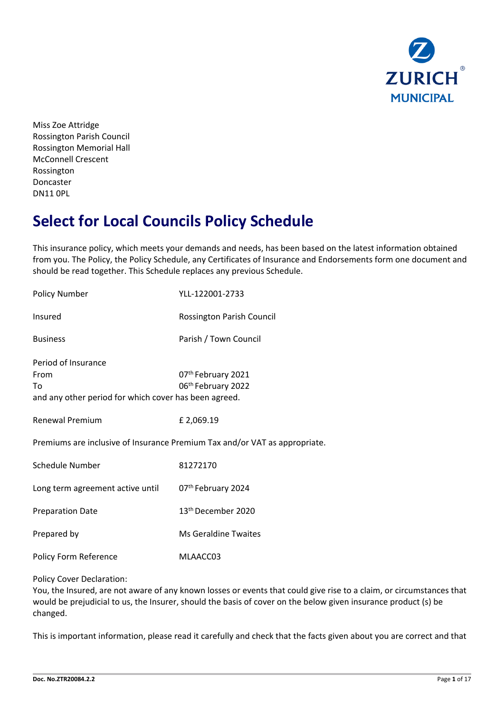

Miss Zoe Attridge Rossington Parish Council Rossington Memorial Hall McConnell Crescent Rossington Doncaster DN11 0PL

# **Select for Local Councils Policy Schedule**

This insurance policy, which meets your demands and needs, has been based on the latest information obtained from you. The Policy, the Policy Schedule, any Certificates of Insurance and Endorsements form one document and should be read together. This Schedule replaces any previous Schedule.

| <b>Policy Number</b>                                                                       | YLL-122001-2733                                                            |
|--------------------------------------------------------------------------------------------|----------------------------------------------------------------------------|
| Insured                                                                                    | Rossington Parish Council                                                  |
| <b>Business</b>                                                                            | Parish / Town Council                                                      |
| Period of Insurance<br>From<br>To<br>and any other period for which cover has been agreed. | 07th February 2021<br>06th February 2022                                   |
| <b>Renewal Premium</b>                                                                     | £2,069.19                                                                  |
|                                                                                            | Premiums are inclusive of Insurance Premium Tax and/or VAT as appropriate. |
| Schedule Number                                                                            | 81272170                                                                   |
| Long term agreement active until                                                           | 07th February 2024                                                         |
| <b>Preparation Date</b>                                                                    | 13 <sup>th</sup> December 2020                                             |
| Prepared by                                                                                | <b>Ms Geraldine Twaites</b>                                                |
| Policy Form Reference                                                                      | MLAACC03                                                                   |

#### Policy Cover Declaration:

You, the Insured, are not aware of any known losses or events that could give rise to a claim, or circumstances that would be prejudicial to us, the Insurer, should the basis of cover on the below given insurance product (s) be changed.

This is important information, please read it carefully and check that the facts given about you are correct and that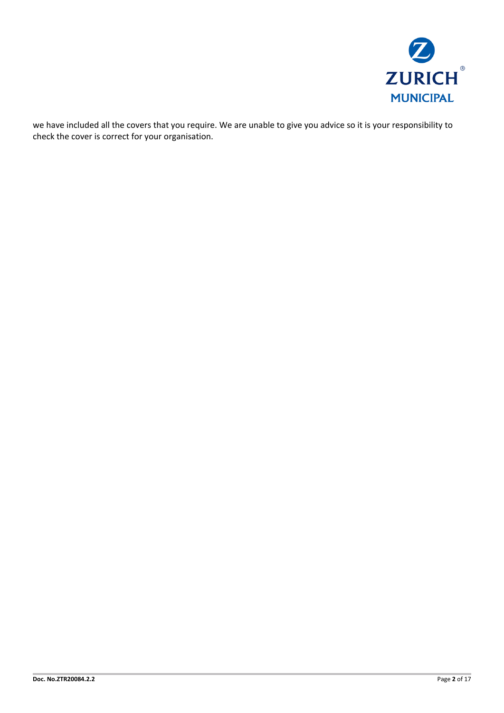

we have included all the covers that you require. We are unable to give you advice so it is your responsibility to check the cover is correct for your organisation.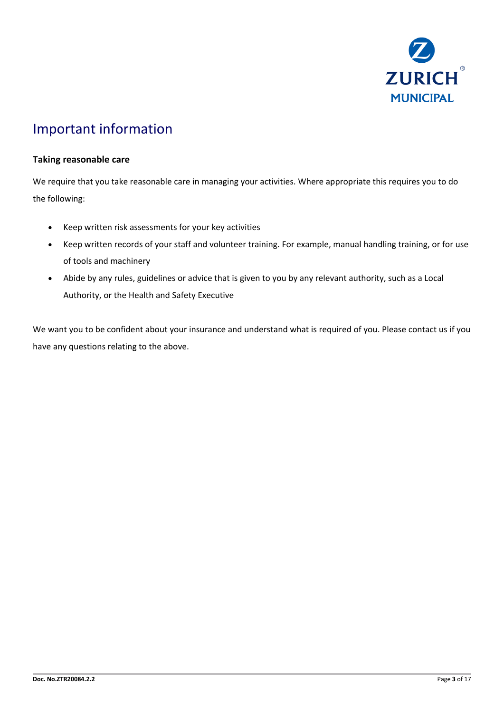

# Important information

## **Taking reasonable care**

We require that you take reasonable care in managing your activities. Where appropriate this requires you to do the following:

- Keep written risk assessments for your key activities
- Keep written records of your staff and volunteer training. For example, manual handling training, or for use of tools and machinery
- Abide by any rules, guidelines or advice that is given to you by any relevant authority, such as a Local Authority, or the Health and Safety Executive

We want you to be confident about your insurance and understand what is required of you. Please contact us if you have any questions relating to the above.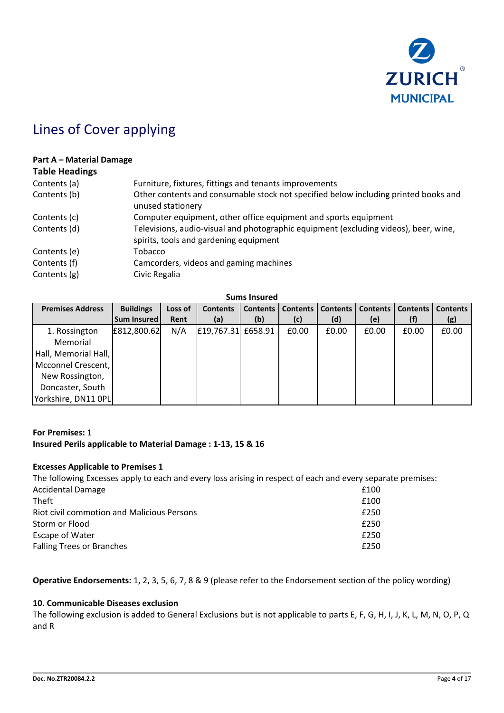

# Lines of Cover applying

#### **Part A – Material Damage**

## **Table Headings**

| Contents (a) | Furniture, fixtures, fittings and tenants improvements                                                                         |
|--------------|--------------------------------------------------------------------------------------------------------------------------------|
| Contents (b) | Other contents and consumable stock not specified below including printed books and<br>unused stationery                       |
| Contents (c) | Computer equipment, other office equipment and sports equipment                                                                |
| Contents (d) | Televisions, audio-visual and photographic equipment (excluding videos), beer, wine,<br>spirits, tools and gardening equipment |
| Contents (e) | Tobacco                                                                                                                        |
| Contents (f) | Camcorders, videos and gaming machines                                                                                         |
| Contents (g) | Civic Regalia                                                                                                                  |
|              |                                                                                                                                |

**Sums Insured**

| <b>Premises Address</b> | <b>Buildings</b> | Loss of | <b>Contents</b>    | Contents | <b>Contents</b> | <b>Contents</b> | <b>Contents</b> | <b>Contents</b> | <b>Contents</b> |
|-------------------------|------------------|---------|--------------------|----------|-----------------|-----------------|-----------------|-----------------|-----------------|
|                         | Sum Insured      | Rent    | (a)                | (b)      | (c)             | (d)             | (e)             |                 | (g)             |
| 1. Rossington           | £812,800.62      | N/A     | £19,767.31 £658.91 |          | £0.00           | £0.00           | £0.00           | £0.00           | £0.00           |
| Memorial                |                  |         |                    |          |                 |                 |                 |                 |                 |
| Hall, Memorial Hall,    |                  |         |                    |          |                 |                 |                 |                 |                 |
| Mcconnel Crescent,      |                  |         |                    |          |                 |                 |                 |                 |                 |
| New Rossington,         |                  |         |                    |          |                 |                 |                 |                 |                 |
| Doncaster, South        |                  |         |                    |          |                 |                 |                 |                 |                 |
| Yorkshire, DN11 OPL     |                  |         |                    |          |                 |                 |                 |                 |                 |

## **For Premises:** 1 **Insured Perils applicable to Material Damage : 1-13, 15 & 16**

#### **Excesses Applicable to Premises 1**

The following Excesses apply to each and every loss arising in respect of each and every separate premises: Accidental Damage £100  $\blacksquare$ Riot civil commotion and Malicious Persons £250 Storm or Flood **E250** Escape of Water **Example 250** Falling Trees or Branches **EXECUTE:**  $\epsilon$  250

**Operative Endorsements:** 1, 2, 3, 5, 6, 7, 8 & 9 (please refer to the Endorsement section of the policy wording)

#### **10. Communicable Diseases exclusion**

The following exclusion is added to General Exclusions but is not applicable to parts E, F, G, H, I, J, K, L, M, N, O, P, Q and R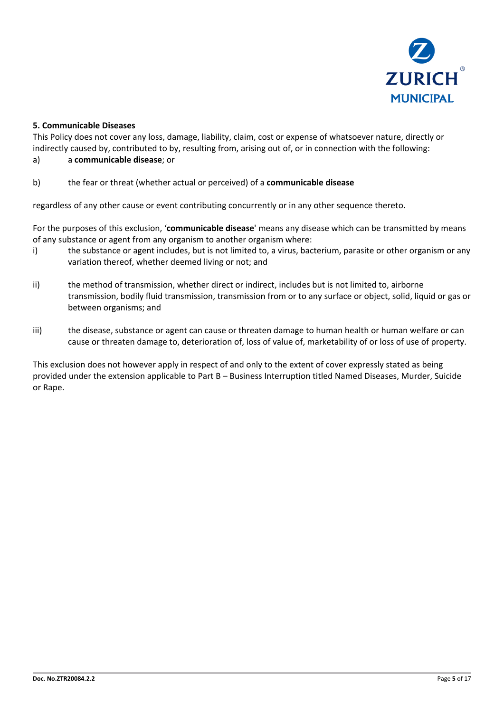

## **5. Communicable Diseases**

This Policy does not cover any loss, damage, liability, claim, cost or expense of whatsoever nature, directly or indirectly caused by, contributed to by, resulting from, arising out of, or in connection with the following: a) a **communicable disease**; or

## b) the fear or threat (whether actual or perceived) of a **communicable disease**

regardless of any other cause or event contributing concurrently or in any other sequence thereto.

For the purposes of this exclusion, '**communicable disease**' means any disease which can be transmitted by means of any substance or agent from any organism to another organism where:

- i) the substance or agent includes, but is not limited to, a virus, bacterium, parasite or other organism or any variation thereof, whether deemed living or not; and
- ii) the method of transmission, whether direct or indirect, includes but is not limited to, airborne transmission, bodily fluid transmission, transmission from or to any surface or object, solid, liquid or gas or between organisms; and
- iii) the disease, substance or agent can cause or threaten damage to human health or human welfare or can cause or threaten damage to, deterioration of, loss of value of, marketability of or loss of use of property.

This exclusion does not however apply in respect of and only to the extent of cover expressly stated as being provided under the extension applicable to Part B – Business Interruption titled Named Diseases, Murder, Suicide or Rape.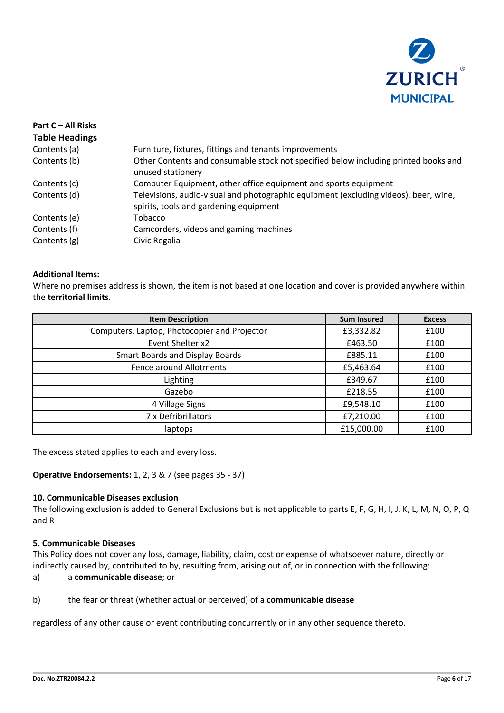

| Part C - All Risks    |                                                                                                                                |
|-----------------------|--------------------------------------------------------------------------------------------------------------------------------|
| <b>Table Headings</b> |                                                                                                                                |
| Contents (a)          | Furniture, fixtures, fittings and tenants improvements                                                                         |
| Contents (b)          | Other Contents and consumable stock not specified below including printed books and<br>unused stationery                       |
| Contents (c)          | Computer Equipment, other office equipment and sports equipment                                                                |
| Contents (d)          | Televisions, audio-visual and photographic equipment (excluding videos), beer, wine,<br>spirits, tools and gardening equipment |
| Contents (e)          | Tobacco                                                                                                                        |
| Contents (f)          | Camcorders, videos and gaming machines                                                                                         |
| Contents (g)          | Civic Regalia                                                                                                                  |

#### **Additional Items:**

Where no premises address is shown, the item is not based at one location and cover is provided anywhere within the **territorial limits**.

| <b>Item Description</b>                      | <b>Sum Insured</b> | <b>Excess</b> |
|----------------------------------------------|--------------------|---------------|
| Computers, Laptop, Photocopier and Projector | £3,332.82          | £100          |
| Event Shelter x2                             | £463.50            | £100          |
| <b>Smart Boards and Display Boards</b>       | £885.11            | £100          |
| Fence around Allotments                      | £5,463.64          | £100          |
| Lighting                                     | £349.67            | £100          |
| Gazebo                                       | £218.55            | £100          |
| 4 Village Signs                              | £9,548.10          | £100          |
| 7 x Defribrillators                          | £7,210.00          | £100          |
| laptops                                      | £15,000.00         | £100          |

The excess stated applies to each and every loss.

**Operative Endorsements:** 1, 2, 3 & 7 (see pages 35 - 37)

#### **10. Communicable Diseases exclusion**

The following exclusion is added to General Exclusions but is not applicable to parts E, F, G, H, I, J, K, L, M, N, O, P, Q and R

#### **5. Communicable Diseases**

This Policy does not cover any loss, damage, liability, claim, cost or expense of whatsoever nature, directly or indirectly caused by, contributed to by, resulting from, arising out of, or in connection with the following:

# a) a **communicable disease**; or

### b) the fear or threat (whether actual or perceived) of a **communicable disease**

regardless of any other cause or event contributing concurrently or in any other sequence thereto.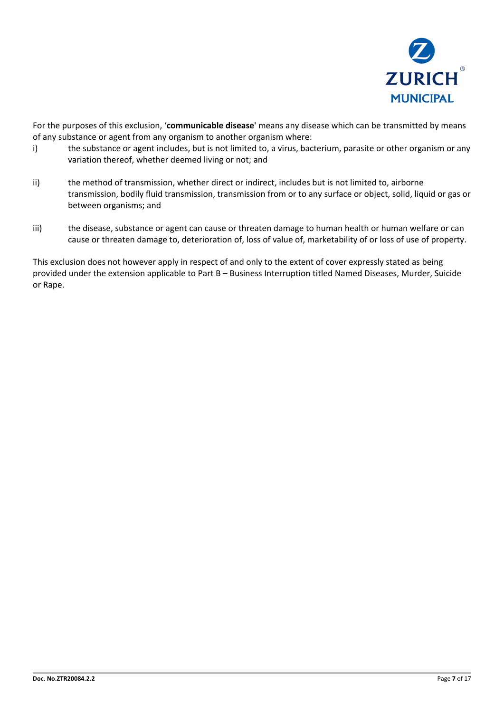

For the purposes of this exclusion, '**communicable disease**' means any disease which can be transmitted by means of any substance or agent from any organism to another organism where:

- i) the substance or agent includes, but is not limited to, a virus, bacterium, parasite or other organism or any variation thereof, whether deemed living or not; and
- ii) the method of transmission, whether direct or indirect, includes but is not limited to, airborne transmission, bodily fluid transmission, transmission from or to any surface or object, solid, liquid or gas or between organisms; and
- iii) the disease, substance or agent can cause or threaten damage to human health or human welfare or can cause or threaten damage to, deterioration of, loss of value of, marketability of or loss of use of property.

This exclusion does not however apply in respect of and only to the extent of cover expressly stated as being provided under the extension applicable to Part B – Business Interruption titled Named Diseases, Murder, Suicide or Rape.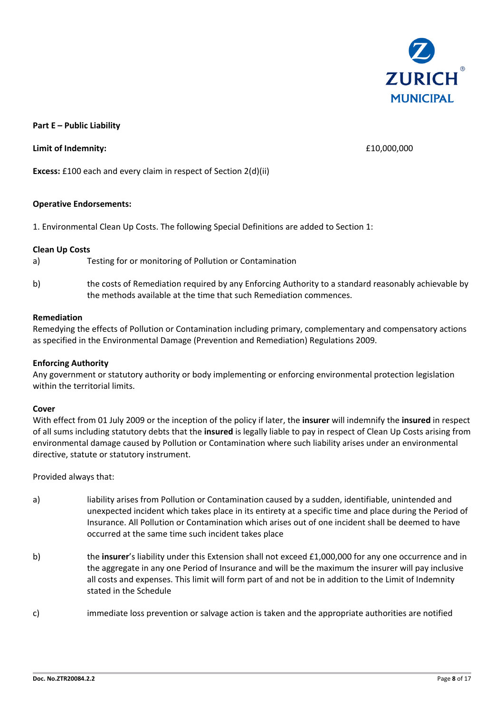

#### **Part E – Public Liability**

#### **Limit of Indemnity:**  $\qquad 610,000,000$

**Excess:** £100 each and every claim in respect of Section 2(d)(ii)

#### **Operative Endorsements:**

1. Environmental Clean Up Costs. The following Special Definitions are added to Section 1:

#### **Clean Up Costs**

- a) Testing for or monitoring of Pollution or Contamination
- b) the costs of Remediation required by any Enforcing Authority to a standard reasonably achievable by the methods available at the time that such Remediation commences.

#### **Remediation**

Remedying the effects of Pollution or Contamination including primary, complementary and compensatory actions as specified in the Environmental Damage (Prevention and Remediation) Regulations 2009.

#### **Enforcing Authority**

Any government or statutory authority or body implementing or enforcing environmental protection legislation within the territorial limits.

#### **Cover**

With effect from 01 July 2009 or the inception of the policy if later, the **insurer** will indemnify the **insured** in respect of all sums including statutory debts that the **insured** is legally liable to pay in respect of Clean Up Costs arising from environmental damage caused by Pollution or Contamination where such liability arises under an environmental directive, statute or statutory instrument.

#### Provided always that:

- a) liability arises from Pollution or Contamination caused by a sudden, identifiable, unintended and unexpected incident which takes place in its entirety at a specific time and place during the Period of Insurance. All Pollution or Contamination which arises out of one incident shall be deemed to have occurred at the same time such incident takes place
- b) the **insurer**'s liability under this Extension shall not exceed £1,000,000 for any one occurrence and in the aggregate in any one Period of Insurance and will be the maximum the insurer will pay inclusive all costs and expenses. This limit will form part of and not be in addition to the Limit of Indemnity stated in the Schedule
- c) immediate loss prevention or salvage action is taken and the appropriate authorities are notified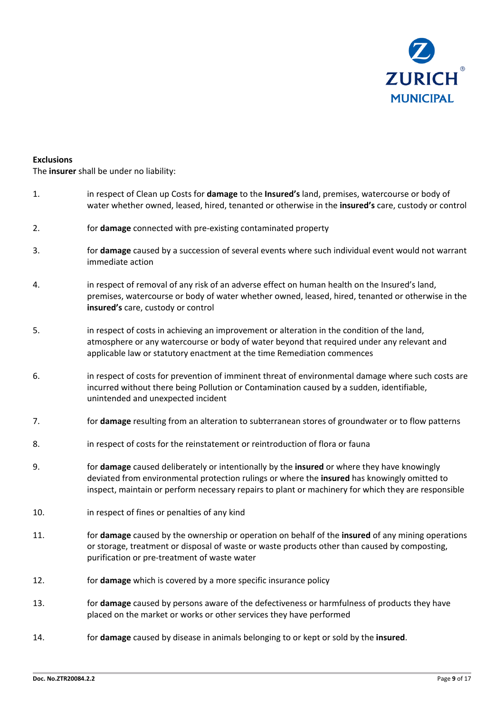

#### **Exclusions**

The **insurer** shall be under no liability:

- 1. in respect of Clean up Costs for **damage** to the **Insured's** land, premises, watercourse or body of water whether owned, leased, hired, tenanted or otherwise in the **insured's** care, custody or control 2. for **damage** connected with pre-existing contaminated property 3. for **damage** caused by a succession of several events where such individual event would not warrant immediate action 4. in respect of removal of any risk of an adverse effect on human health on the Insured's land, premises, watercourse or body of water whether owned, leased, hired, tenanted or otherwise in the **insured's** care, custody or control 5. in respect of costs in achieving an improvement or alteration in the condition of the land, atmosphere or any watercourse or body of water beyond that required under any relevant and applicable law or statutory enactment at the time Remediation commences 6. in respect of costs for prevention of imminent threat of environmental damage where such costs are incurred without there being Pollution or Contamination caused by a sudden, identifiable, unintended and unexpected incident 7. for **damage** resulting from an alteration to subterranean stores of groundwater or to flow patterns 8. in respect of costs for the reinstatement or reintroduction of flora or fauna 9. for **damage** caused deliberately or intentionally by the **insured** or where they have knowingly deviated from environmental protection rulings or where the **insured** has knowingly omitted to inspect, maintain or perform necessary repairs to plant or machinery for which they are responsible 10. in respect of fines or penalties of any kind 11. for **damage** caused by the ownership or operation on behalf of the **insured** of any mining operations or storage, treatment or disposal of waste or waste products other than caused by composting, purification or pre-treatment of waste water 12. for **damage** which is covered by a more specific insurance policy 13. for **damage** caused by persons aware of the defectiveness or harmfulness of products they have placed on the market or works or other services they have performed
- 14. for **damage** caused by disease in animals belonging to or kept or sold by the **insured**.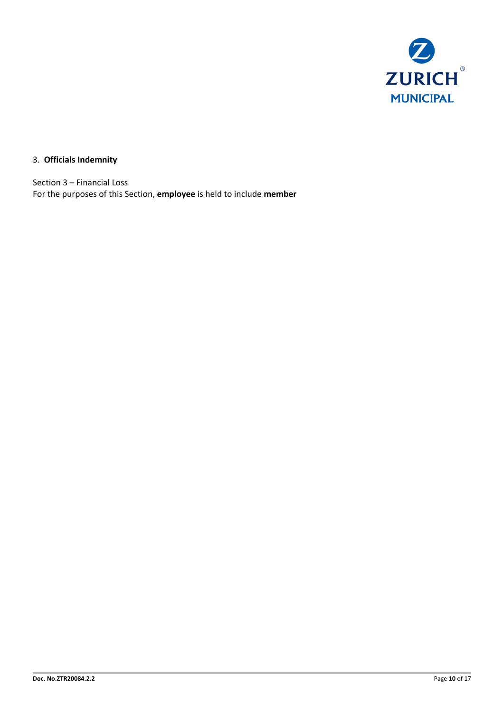

# 3. **Officials Indemnity**

Section 3 – Financial Loss For the purposes of this Section, **employee** is held to include **member**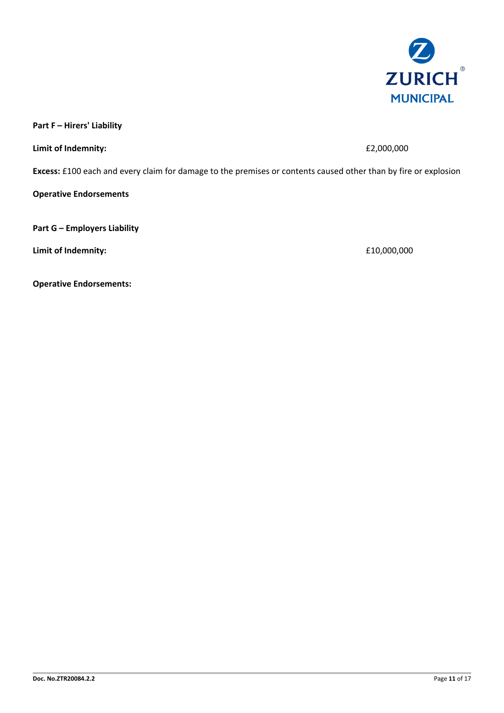

**Part F – Hirers' Liability** 

**Limit of Indemnity:**  $E2,000,000$ 

**Excess:** £100 each and every claim for damage to the premises or contents caused other than by fire or explosion

**Operative Endorsements**

**Part G – Employers Liability** 

**Limit of Indemnity:**  $£10,000,000$ 

**Operative Endorsements:**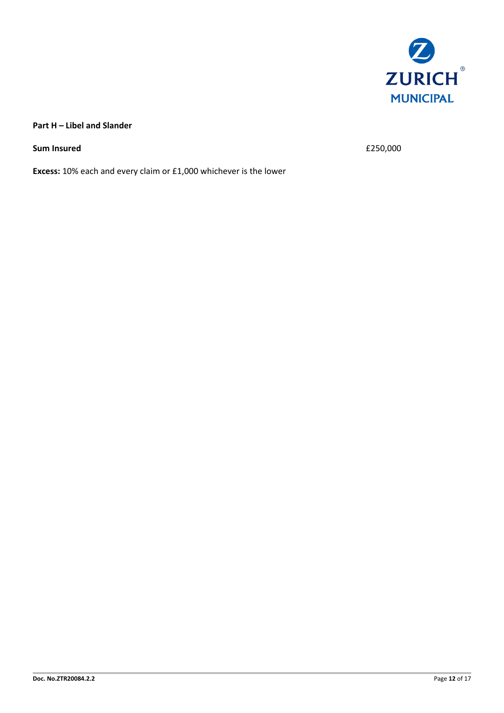

## **Part H – Libel and Slander**

**Sum Insured**  $\epsilon$  250,000

**Excess:** 10% each and every claim or £1,000 whichever is the lower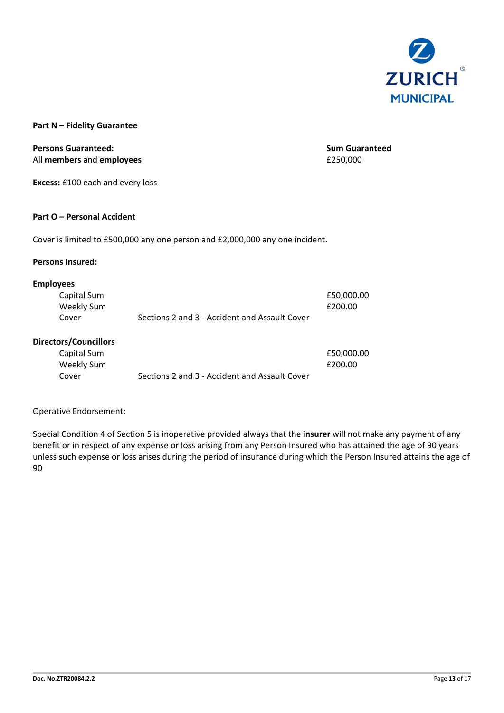

#### **Part N – Fidelity Guarantee**

**Persons Guaranteed: Sum Guaranteed Sum Guaranteed** All **members** and **employees** £250,000

£50,000.00

**Excess:** £100 each and every loss

#### **Part O – Personal Accident**

Cover is limited to £500,000 any one person and £2,000,000 any one incident.

#### **Persons Insured:**

#### **Employees**

| Capital Sum |                                               | £50,000.00 |
|-------------|-----------------------------------------------|------------|
| Weekly Sum  |                                               | £200.00    |
| Cover       | Sections 2 and 3 - Accident and Assault Cover |            |

## **Directors/Councillors**

| Capital Sum |                                               | £50,000 |
|-------------|-----------------------------------------------|---------|
| Weekly Sum  |                                               | £200.00 |
| Cover       | Sections 2 and 3 - Accident and Assault Cover |         |

### Operative Endorsement:

Special Condition 4 of Section 5 is inoperative provided always that the **insurer** will not make any payment of any benefit or in respect of any expense or loss arising from any Person Insured who has attained the age of 90 years unless such expense or loss arises during the period of insurance during which the Person Insured attains the age of 90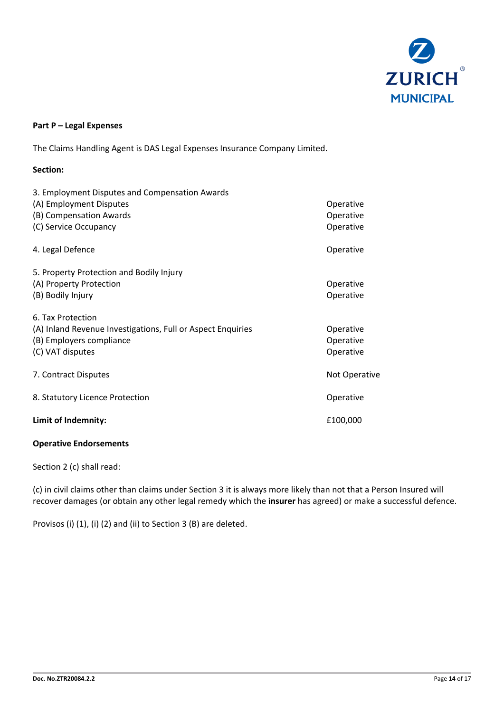

## **Part P – Legal Expenses**

The Claims Handling Agent is DAS Legal Expenses Insurance Company Limited.

### **Section:**

| 3. Employment Disputes and Compensation Awards              |               |
|-------------------------------------------------------------|---------------|
| (A) Employment Disputes                                     | Operative     |
| (B) Compensation Awards                                     | Operative     |
| (C) Service Occupancy                                       | Operative     |
| 4. Legal Defence                                            | Operative     |
| 5. Property Protection and Bodily Injury                    |               |
| (A) Property Protection                                     | Operative     |
| (B) Bodily Injury                                           | Operative     |
| 6. Tax Protection                                           |               |
| (A) Inland Revenue Investigations, Full or Aspect Enquiries | Operative     |
| (B) Employers compliance                                    | Operative     |
| (C) VAT disputes                                            | Operative     |
| 7. Contract Disputes                                        | Not Operative |
| 8. Statutory Licence Protection                             | Operative     |
| Limit of Indemnity:                                         | £100,000      |

#### **Operative Endorsements**

Section 2 (c) shall read:

(c) in civil claims other than claims under Section 3 it is always more likely than not that a Person Insured will recover damages (or obtain any other legal remedy which the **insurer** has agreed) or make a successful defence.

Provisos (i) (1), (i) (2) and (ii) to Section 3 (B) are deleted.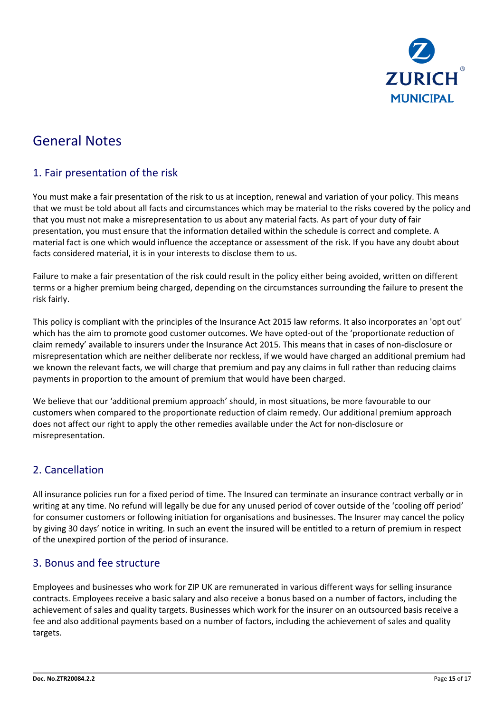

# General Notes

# 1. Fair presentation of the risk

You must make a fair presentation of the risk to us at inception, renewal and variation of your policy. This means that we must be told about all facts and circumstances which may be material to the risks covered by the policy and that you must not make a misrepresentation to us about any material facts. As part of your duty of fair presentation, you must ensure that the information detailed within the schedule is correct and complete. A material fact is one which would influence the acceptance or assessment of the risk. If you have any doubt about facts considered material, it is in your interests to disclose them to us.

Failure to make a fair presentation of the risk could result in the policy either being avoided, written on different terms or a higher premium being charged, depending on the circumstances surrounding the failure to present the risk fairly.

This policy is compliant with the principles of the Insurance Act 2015 law reforms. It also incorporates an 'opt out' which has the aim to promote good customer outcomes. We have opted-out of the 'proportionate reduction of claim remedy' available to insurers under the Insurance Act 2015. This means that in cases of non-disclosure or misrepresentation which are neither deliberate nor reckless, if we would have charged an additional premium had we known the relevant facts, we will charge that premium and pay any claims in full rather than reducing claims payments in proportion to the amount of premium that would have been charged.

We believe that our 'additional premium approach' should, in most situations, be more favourable to our customers when compared to the proportionate reduction of claim remedy. Our additional premium approach does not affect our right to apply the other remedies available under the Act for non-disclosure or misrepresentation.

# 2. Cancellation

All insurance policies run for a fixed period of time. The Insured can terminate an insurance contract verbally or in writing at any time. No refund will legally be due for any unused period of cover outside of the 'cooling off period' for consumer customers or following initiation for organisations and businesses. The Insurer may cancel the policy by giving 30 days' notice in writing. In such an event the insured will be entitled to a return of premium in respect of the unexpired portion of the period of insurance.

# 3. Bonus and fee structure

Employees and businesses who work for ZIP UK are remunerated in various different ways for selling insurance contracts. Employees receive a basic salary and also receive a bonus based on a number of factors, including the achievement of sales and quality targets. Businesses which work for the insurer on an outsourced basis receive a fee and also additional payments based on a number of factors, including the achievement of sales and quality targets.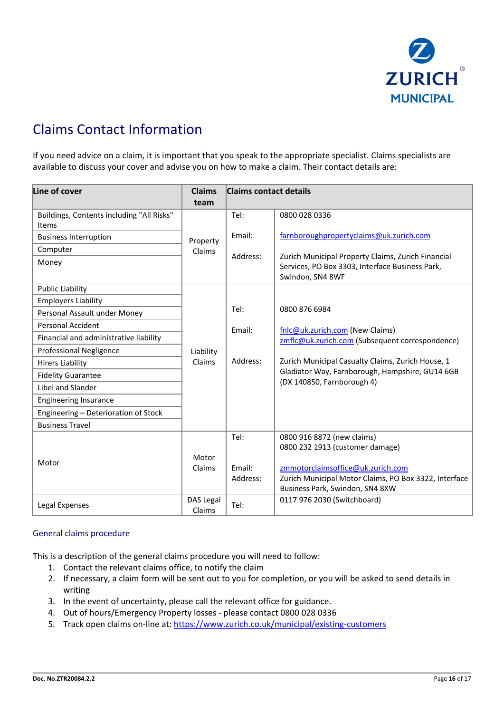

# Claims Contact Information

If you need advice on a claim, it is important that you speak to the appropriate specialist. Claims specialists are available to discuss your cover and advise you on how to make a claim. Their contact details are:

| Line of cover                                                                                                                                                                                                                                                                                                                                     | <b>Claims</b><br>team | <b>Claims contact details</b> |                                                                                                                                                                                                                                           |  |
|---------------------------------------------------------------------------------------------------------------------------------------------------------------------------------------------------------------------------------------------------------------------------------------------------------------------------------------------------|-----------------------|-------------------------------|-------------------------------------------------------------------------------------------------------------------------------------------------------------------------------------------------------------------------------------------|--|
| Buildings, Contents including "All Risks"<br>Items<br><b>Business Interruption</b><br>Computer<br>Money<br><b>Public Liability</b>                                                                                                                                                                                                                | Property<br>Claims    | Tel:<br>Email:<br>Address:    | 0800 028 0336<br>farnboroughpropertyclaims@uk.zurich.com<br>Zurich Municipal Property Claims, Zurich Financial<br>Services, PO Box 3303, Interface Business Park,<br>Swindon, SN4 8WF                                                     |  |
| <b>Employers Liability</b><br>Personal Assault under Money<br><b>Personal Accident</b><br>Financial and administrative liability<br><b>Professional Negligence</b><br><b>Hirers Liability</b><br><b>Fidelity Guarantee</b><br>Libel and Slander<br><b>Engineering Insurance</b><br>Engineering - Deterioration of Stock<br><b>Business Travel</b> | Liability<br>Claims   | Tel:<br>Email:<br>Address:    | 0800 876 6984<br>fnlc@uk.zurich.com (New Claims)<br>zmflc@uk.zurich.com (Subsequent correspondence)<br>Zurich Municipal Casualty Claims, Zurich House, 1<br>Gladiator Way, Farnborough, Hampshire, GU14 6GB<br>(DX 140850, Farnborough 4) |  |
| Motor                                                                                                                                                                                                                                                                                                                                             | Motor<br>Claims       | Tel:<br>Email:<br>Address:    | 0800 916 8872 (new claims)<br>0800 232 1913 (customer damage)<br>zmmotorclaimsoffice@uk.zurich.com<br>Zurich Municipal Motor Claims, PO Box 3322, Interface<br>Business Park, Swindon, SN4 8XW                                            |  |
| Legal Expenses                                                                                                                                                                                                                                                                                                                                    | DAS Legal<br>Claims   | Tel:                          | 0117 976 2030 (Switchboard)                                                                                                                                                                                                               |  |

#### General claims procedure

This is a description of the general claims procedure you will need to follow:

- 1. Contact the relevant claims office, to notify the claim
- 2. If necessary, a claim form will be sent out to you for completion, or you will be asked to send details in writing
- 3. In the event of uncertainty, please call the relevant office for guidance.
- 4. Out of hours/Emergency Property losses please contact 0800 028 0336
- 5. Track open claims on-line at:<https://www.zurich.co.uk/municipal/existing-customers>